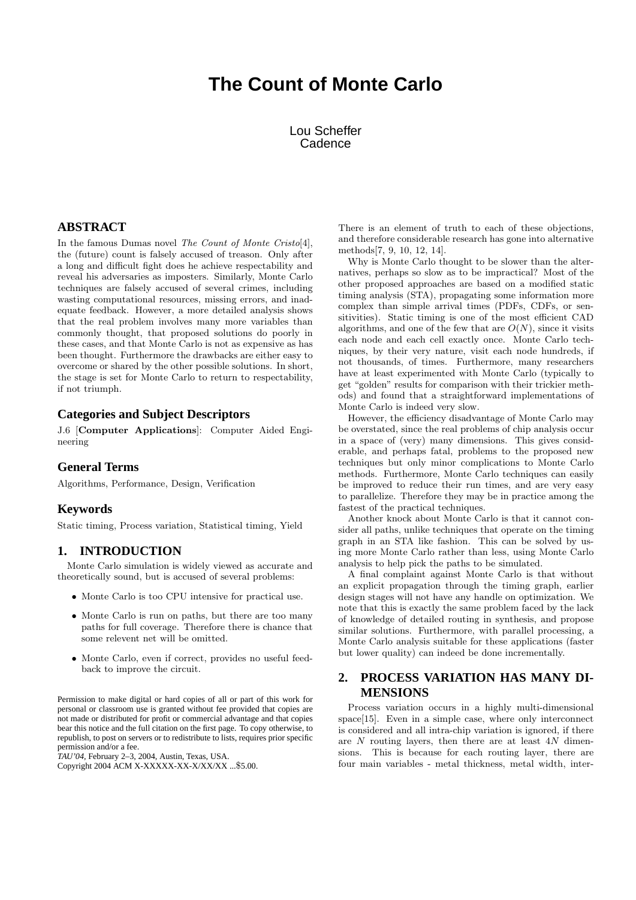# **The Count of Monte Carlo**

Lou Scheffer **Cadence** 

# **ABSTRACT**

In the famous Dumas novel The Count of Monte Cristo[4], the (future) count is falsely accused of treason. Only after a long and difficult fight does he achieve respectability and reveal his adversaries as imposters. Similarly, Monte Carlo techniques are falsely accused of several crimes, including wasting computational resources, missing errors, and inadequate feedback. However, a more detailed analysis shows that the real problem involves many more variables than commonly thought, that proposed solutions do poorly in these cases, and that Monte Carlo is not as expensive as has been thought. Furthermore the drawbacks are either easy to overcome or shared by the other possible solutions. In short, the stage is set for Monte Carlo to return to respectability, if not triumph.

# **Categories and Subject Descriptors**

J.6 [Computer Applications]: Computer Aided Engineering

# **General Terms**

Algorithms, Performance, Design, Verification

#### **Keywords**

Static timing, Process variation, Statistical timing, Yield

### **1. INTRODUCTION**

Monte Carlo simulation is widely viewed as accurate and theoretically sound, but is accused of several problems:

- Monte Carlo is too CPU intensive for practical use.
- Monte Carlo is run on paths, but there are too many paths for full coverage. Therefore there is chance that some relevent net will be omitted.
- Monte Carlo, even if correct, provides no useful feedback to improve the circuit.

Permission to make digital or hard copies of all or part of this work for personal or classroom use is granted without fee provided that copies are not made or distributed for profit or commercial advantage and that copies bear this notice and the full citation on the first page. To copy otherwise, to republish, to post on servers or to redistribute to lists, requires prior specific permission and/or a fee.

*TAU'04,* February 2–3, 2004, Austin, Texas, USA.

Copyright 2004 ACM X-XXXXX-XX-X/XX/XX ...\$5.00.

There is an element of truth to each of these objections, and therefore considerable research has gone into alternative methods[7, 9, 10, 12, 14].

Why is Monte Carlo thought to be slower than the alternatives, perhaps so slow as to be impractical? Most of the other proposed approaches are based on a modified static timing analysis (STA), propagating some information more complex than simple arrival times (PDFs, CDFs, or sensitivities). Static timing is one of the most efficient CAD algorithms, and one of the few that are  $O(N)$ , since it visits each node and each cell exactly once. Monte Carlo techniques, by their very nature, visit each node hundreds, if not thousands, of times. Furthermore, many researchers have at least experimented with Monte Carlo (typically to get "golden" results for comparison with their trickier methods) and found that a straightforward implementations of Monte Carlo is indeed very slow.

However, the efficiency disadvantage of Monte Carlo may be overstated, since the real problems of chip analysis occur in a space of (very) many dimensions. This gives considerable, and perhaps fatal, problems to the proposed new techniques but only minor complications to Monte Carlo methods. Furthermore, Monte Carlo techniques can easily be improved to reduce their run times, and are very easy to parallelize. Therefore they may be in practice among the fastest of the practical techniques.

Another knock about Monte Carlo is that it cannot consider all paths, unlike techniques that operate on the timing graph in an STA like fashion. This can be solved by using more Monte Carlo rather than less, using Monte Carlo analysis to help pick the paths to be simulated.

A final complaint against Monte Carlo is that without an explicit propagation through the timing graph, earlier design stages will not have any handle on optimization. We note that this is exactly the same problem faced by the lack of knowledge of detailed routing in synthesis, and propose similar solutions. Furthermore, with parallel processing, a Monte Carlo analysis suitable for these applications (faster but lower quality) can indeed be done incrementally.

# **2. PROCESS VARIATION HAS MANY DI-MENSIONS**

Process variation occurs in a highly multi-dimensional space[15]. Even in a simple case, where only interconnect is considered and all intra-chip variation is ignored, if there are  $N$  routing layers, then there are at least  $4N$  dimensions. This is because for each routing layer, there are four main variables - metal thickness, metal width, inter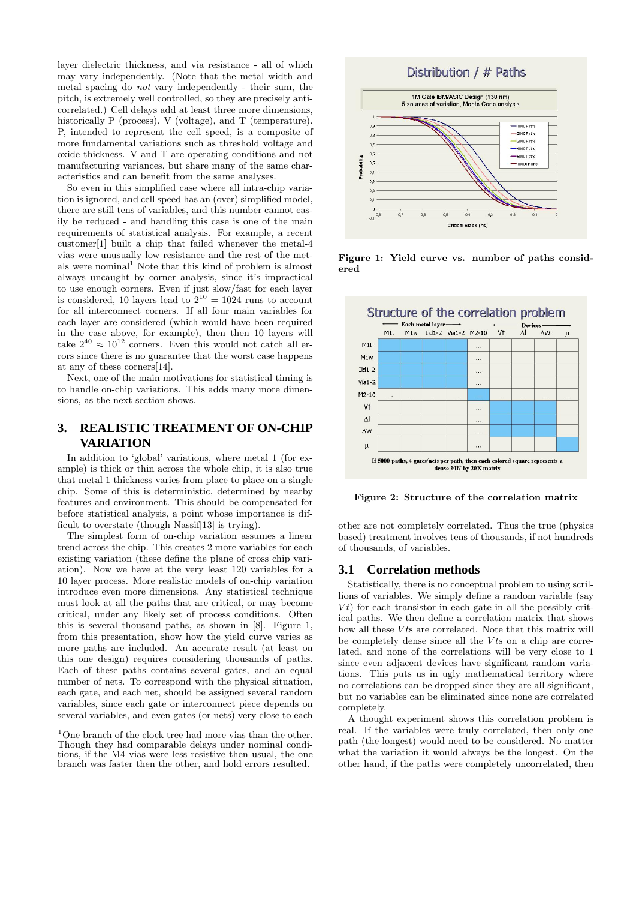layer dielectric thickness, and via resistance - all of which may vary independently. (Note that the metal width and metal spacing do not vary independently - their sum, the pitch, is extremely well controlled, so they are precisely anticorrelated.) Cell delays add at least three more dimensions, historically P (process), V (voltage), and T (temperature). P, intended to represent the cell speed, is a composite of more fundamental variations such as threshold voltage and oxide thickness. V and T are operating conditions and not manufacturing variances, but share many of the same characteristics and can benefit from the same analyses.

So even in this simplified case where all intra-chip variation is ignored, and cell speed has an (over) simplified model, there are still tens of variables, and this number cannot easily be reduced - and handling this case is one of the main requirements of statistical analysis. For example, a recent customer[1] built a chip that failed whenever the metal-4 vias were unusually low resistance and the rest of the metals were nominal<sup>1</sup> Note that this kind of problem is almost always uncaught by corner analysis, since it's impractical to use enough corners. Even if just slow/fast for each layer is considered, 10 layers lead to  $2^{10} = 1024$  runs to account for all interconnect corners. If all four main variables for each layer are considered (which would have been required in the case above, for example), then then 10 layers will take  $2^{40} \approx 10^{12}$  corners. Even this would not catch all errors since there is no guarantee that the worst case happens at any of these corners[14].

Next, one of the main motivations for statistical timing is to handle on-chip variations. This adds many more dimensions, as the next section shows.

# **3. REALISTIC TREATMENT OF ON-CHIP VARIATION**

In addition to 'global' variations, where metal 1 (for example) is thick or thin across the whole chip, it is also true that metal 1 thickness varies from place to place on a single chip. Some of this is deterministic, determined by nearby features and environment. This should be compensated for before statistical analysis, a point whose importance is difficult to overstate (though Nassif[13] is trying).

The simplest form of on-chip variation assumes a linear trend across the chip. This creates 2 more variables for each existing variation (these define the plane of cross chip variation). Now we have at the very least 120 variables for a 10 layer process. More realistic models of on-chip variation introduce even more dimensions. Any statistical technique must look at all the paths that are critical, or may become critical, under any likely set of process conditions. Often this is several thousand paths, as shown in [8]. Figure 1, from this presentation, show how the yield curve varies as more paths are included. An accurate result (at least on this one design) requires considering thousands of paths. Each of these paths contains several gates, and an equal number of nets. To correspond with the physical situation, each gate, and each net, should be assigned several random variables, since each gate or interconnect piece depends on several variables, and even gates (or nets) very close to each



Figure 1: Yield curve vs. number of paths considered



Figure 2: Structure of the correlation matrix

other are not completely correlated. Thus the true (physics based) treatment involves tens of thousands, if not hundreds of thousands, of variables.

# **3.1 Correlation methods**

Statistically, there is no conceptual problem to using scrillions of variables. We simply define a random variable (say  $Vt$ ) for each transistor in each gate in all the possibly critical paths. We then define a correlation matrix that shows how all these  $V$ ts are correlated. Note that this matrix will be completely dense since all the  $V$ ts on a chip are correlated, and none of the correlations will be very close to 1 since even adjacent devices have significant random variations. This puts us in ugly mathematical territory where no correlations can be dropped since they are all significant, but no variables can be eliminated since none are correlated completely.

A thought experiment shows this correlation problem is real. If the variables were truly correlated, then only one path (the longest) would need to be considered. No matter what the variation it would always be the longest. On the other hand, if the paths were completely uncorrelated, then

<sup>&</sup>lt;sup>1</sup>One branch of the clock tree had more vias than the other. Though they had comparable delays under nominal conditions, if the M4 vias were less resistive then usual, the one branch was faster then the other, and hold errors resulted.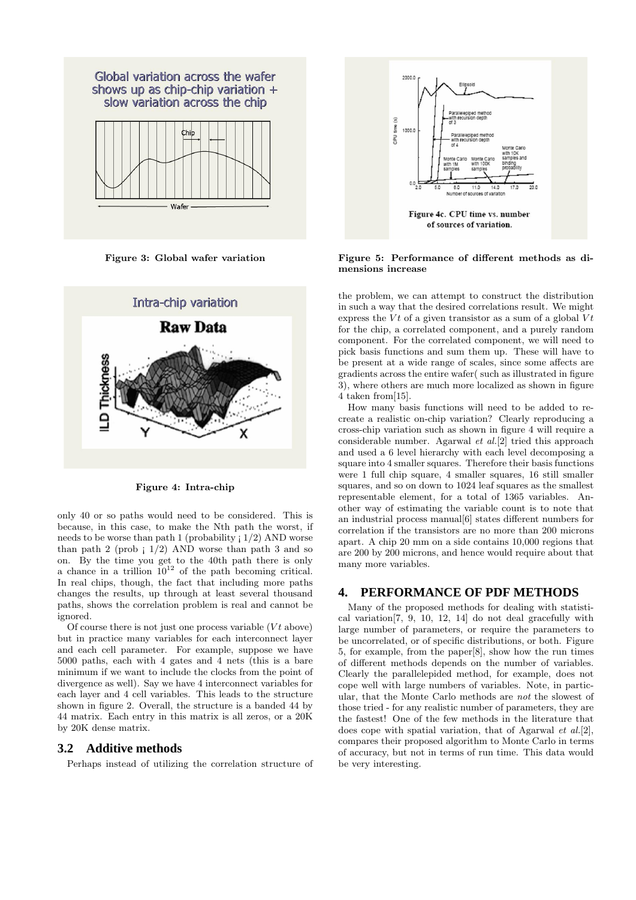

Figure 3: Global wafer variation



Figure 4: Intra-chip

only 40 or so paths would need to be considered. This is because, in this case, to make the Nth path the worst, if needs to be worse than path 1 (probability  $(1/2)$  AND worse than path  $2$  (prob  $\vert 1/2 \rangle$  AND worse than path  $3$  and so on. By the time you get to the 40th path there is only a chance in a trillion  $10^{12}$  of the path becoming critical. In real chips, though, the fact that including more paths changes the results, up through at least several thousand paths, shows the correlation problem is real and cannot be ignored.

Of course there is not just one process variable  $(Vt)$  above) but in practice many variables for each interconnect layer and each cell parameter. For example, suppose we have 5000 paths, each with 4 gates and 4 nets (this is a bare minimum if we want to include the clocks from the point of divergence as well). Say we have 4 interconnect variables for each layer and 4 cell variables. This leads to the structure shown in figure 2. Overall, the structure is a banded 44 by 44 matrix. Each entry in this matrix is all zeros, or a 20K by 20K dense matrix.

#### **3.2 Additive methods**

Perhaps instead of utilizing the correlation structure of



Figure 5: Performance of different methods as dimensions increase

the problem, we can attempt to construct the distribution in such a way that the desired correlations result. We might express the Vt of a given transistor as a sum of a global  $Vt$ for the chip, a correlated component, and a purely random component. For the correlated component, we will need to pick basis functions and sum them up. These will have to be present at a wide range of scales, since some affects are gradients across the entire wafer( such as illustrated in figure 3), where others are much more localized as shown in figure 4 taken from[15].

How many basis functions will need to be added to recreate a realistic on-chip variation? Clearly reproducing a cross-chip variation such as shown in figure 4 will require a considerable number. Agarwal et al.[2] tried this approach and used a 6 level hierarchy with each level decomposing a square into 4 smaller squares. Therefore their basis functions were 1 full chip square, 4 smaller squares, 16 still smaller squares, and so on down to 1024 leaf squares as the smallest representable element, for a total of 1365 variables. Another way of estimating the variable count is to note that an industrial process manual[6] states different numbers for correlation if the transistors are no more than 200 microns apart. A chip 20 mm on a side contains 10,000 regions that are 200 by 200 microns, and hence would require about that many more variables.

# **4. PERFORMANCE OF PDF METHODS**

Many of the proposed methods for dealing with statistical variation[7, 9, 10, 12, 14] do not deal gracefully with large number of parameters, or require the parameters to be uncorrelated, or of specific distributions, or both. Figure 5, for example, from the paper[8], show how the run times of different methods depends on the number of variables. Clearly the parallelepided method, for example, does not cope well with large numbers of variables. Note, in particular, that the Monte Carlo methods are not the slowest of those tried - for any realistic number of parameters, they are the fastest! One of the few methods in the literature that does cope with spatial variation, that of Agarwal et al.[2], compares their proposed algorithm to Monte Carlo in terms of accuracy, but not in terms of run time. This data would be very interesting.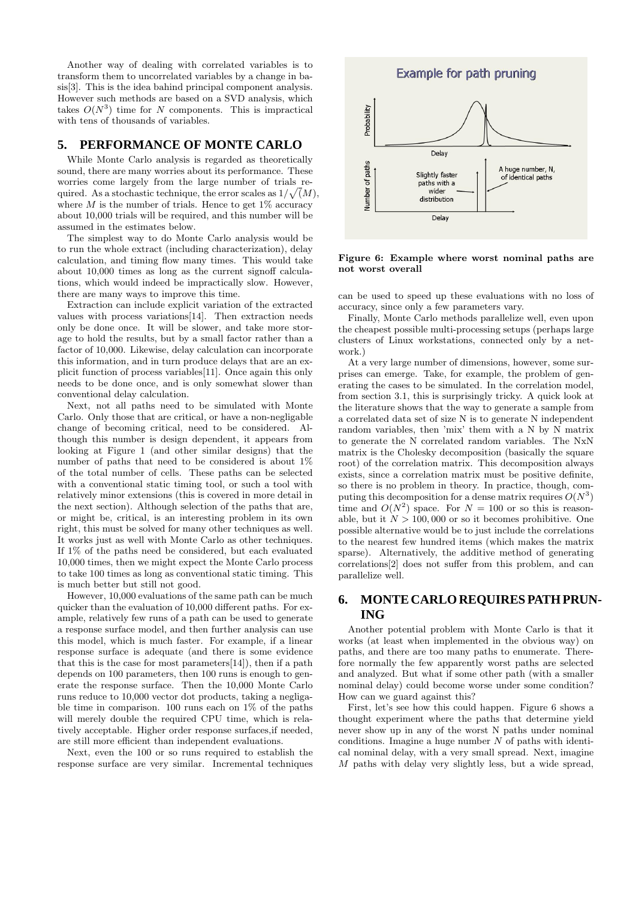Another way of dealing with correlated variables is to transform them to uncorrelated variables by a change in basis[3]. This is the idea bahind principal component analysis. However such methods are based on a SVD analysis, which takes  $O(N^3)$  time for N components. This is impractical with tens of thousands of variables.

# **5. PERFORMANCE OF MONTE CARLO**

While Monte Carlo analysis is regarded as theoretically sound, there are many worries about its performance. These worries come largely from the large number of trials required. As a stochastic technique, the error scales as  $1/\sqrt(M)$ , where  $M$  is the number of trials. Hence to get  $1\%$  accuracy about 10,000 trials will be required, and this number will be assumed in the estimates below.

The simplest way to do Monte Carlo analysis would be to run the whole extract (including characterization), delay calculation, and timing flow many times. This would take about 10,000 times as long as the current signoff calculations, which would indeed be impractically slow. However, there are many ways to improve this time.

Extraction can include explicit variation of the extracted values with process variations[14]. Then extraction needs only be done once. It will be slower, and take more storage to hold the results, but by a small factor rather than a factor of 10,000. Likewise, delay calculation can incorporate this information, and in turn produce delays that are an explicit function of process variables[11]. Once again this only needs to be done once, and is only somewhat slower than conventional delay calculation.

Next, not all paths need to be simulated with Monte Carlo. Only those that are critical, or have a non-negligable change of becoming critical, need to be considered. Although this number is design dependent, it appears from looking at Figure 1 (and other similar designs) that the number of paths that need to be considered is about 1% of the total number of cells. These paths can be selected with a conventional static timing tool, or such a tool with relatively minor extensions (this is covered in more detail in the next section). Although selection of the paths that are, or might be, critical, is an interesting problem in its own right, this must be solved for many other techniques as well. It works just as well with Monte Carlo as other techniques. If 1% of the paths need be considered, but each evaluated 10,000 times, then we might expect the Monte Carlo process to take 100 times as long as conventional static timing. This is much better but still not good.

However, 10,000 evaluations of the same path can be much quicker than the evaluation of 10,000 different paths. For example, relatively few runs of a path can be used to generate a response surface model, and then further analysis can use this model, which is much faster. For example, if a linear response surface is adequate (and there is some evidence that this is the case for most parameters[14]), then if a path depends on 100 parameters, then 100 runs is enough to generate the response surface. Then the 10,000 Monte Carlo runs reduce to 10,000 vector dot products, taking a negligable time in comparison. 100 runs each on  $1\%$  of the paths will merely double the required CPU time, which is relatively acceptable. Higher order response surfaces,if needed, are still more efficient than independent evaluations.

Next, even the 100 or so runs required to establish the response surface are very similar. Incremental techniques



Figure 6: Example where worst nominal paths are not worst overall

can be used to speed up these evaluations with no loss of accuracy, since only a few parameters vary.

Finally, Monte Carlo methods parallelize well, even upon the cheapest possible multi-processing setups (perhaps large clusters of Linux workstations, connected only by a network.)

At a very large number of dimensions, however, some surprises can emerge. Take, for example, the problem of generating the cases to be simulated. In the correlation model, from section 3.1, this is surprisingly tricky. A quick look at the literature shows that the way to generate a sample from a correlated data set of size N is to generate N independent random variables, then 'mix' them with a N by N matrix to generate the N correlated random variables. The NxN matrix is the Cholesky decomposition (basically the square root) of the correlation matrix. This decomposition always exists, since a correlation matrix must be positive definite, so there is no problem in theory. In practice, though, computing this decomposition for a dense matrix requires  $O(N^3)$ time and  $O(N^2)$  space. For  $N = 100$  or so this is reasonable, but it  $N > 100,000$  or so it becomes prohibitive. One possible alternative would be to just include the correlations to the nearest few hundred items (which makes the matrix sparse). Alternatively, the additive method of generating correlations[2] does not suffer from this problem, and can parallelize well.

# **6. MONTE CARLO REQUIRES PATH PRUN-ING**

Another potential problem with Monte Carlo is that it works (at least when implemented in the obvious way) on paths, and there are too many paths to enumerate. Therefore normally the few apparently worst paths are selected and analyzed. But what if some other path (with a smaller nominal delay) could become worse under some condition? How can we guard against this?

First, let's see how this could happen. Figure 6 shows a thought experiment where the paths that determine yield never show up in any of the worst N paths under nominal conditions. Imagine a huge number  $N$  of paths with identical nominal delay, with a very small spread. Next, imagine M paths with delay very slightly less, but a wide spread,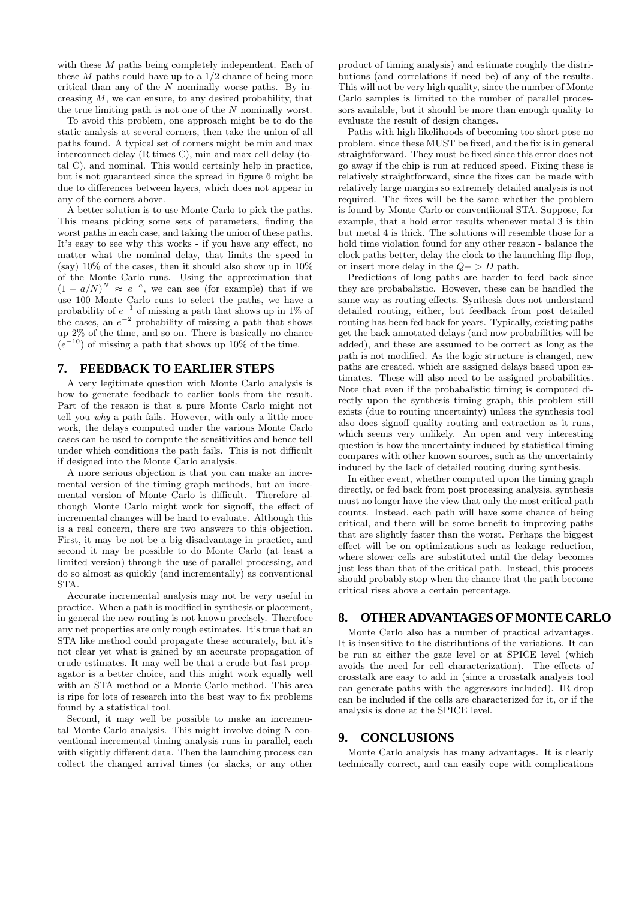with these M paths being completely independent. Each of these  $M$  paths could have up to a  $1/2$  chance of being more critical than any of the  $N$  nominally worse paths. By increasing  $M$ , we can ensure, to any desired probability, that the true limiting path is not one of the  $N$  nominally worst.

To avoid this problem, one approach might be to do the static analysis at several corners, then take the union of all paths found. A typical set of corners might be min and max interconnect delay (R times C), min and max cell delay (total C), and nominal. This would certainly help in practice, but is not guaranteed since the spread in figure 6 might be due to differences between layers, which does not appear in any of the corners above.

A better solution is to use Monte Carlo to pick the paths. This means picking some sets of parameters, finding the worst paths in each case, and taking the union of these paths. It's easy to see why this works - if you have any effect, no matter what the nominal delay, that limits the speed in (say)  $10\%$  of the cases, then it should also show up in  $10\%$ of the Monte Carlo runs. Using the approximation that  $(1 - a/N)^N \approx e^{-a}$ , we can see (for example) that if we use 100 Monte Carlo runs to select the paths, we have a probability of  $e^{-1}$  of missing a path that shows up in 1% of the cases, an  $e^{-2}$  probability of missing a path that shows up 2% of the time, and so on. There is basically no chance  $(e^{-10})$  of missing a path that shows up 10% of the time.

# **7. FEEDBACK TO EARLIER STEPS**

A very legitimate question with Monte Carlo analysis is how to generate feedback to earlier tools from the result. Part of the reason is that a pure Monte Carlo might not tell you why a path fails. However, with only a little more work, the delays computed under the various Monte Carlo cases can be used to compute the sensitivities and hence tell under which conditions the path fails. This is not difficult if designed into the Monte Carlo analysis.

A more serious objection is that you can make an incremental version of the timing graph methods, but an incremental version of Monte Carlo is difficult. Therefore although Monte Carlo might work for signoff, the effect of incremental changes will be hard to evaluate. Although this is a real concern, there are two answers to this objection. First, it may be not be a big disadvantage in practice, and second it may be possible to do Monte Carlo (at least a limited version) through the use of parallel processing, and do so almost as quickly (and incrementally) as conventional STA.

Accurate incremental analysis may not be very useful in practice. When a path is modified in synthesis or placement, in general the new routing is not known precisely. Therefore any net properties are only rough estimates. It's true that an STA like method could propagate these accurately, but it's not clear yet what is gained by an accurate propagation of crude estimates. It may well be that a crude-but-fast propagator is a better choice, and this might work equally well with an STA method or a Monte Carlo method. This area is ripe for lots of research into the best way to fix problems found by a statistical tool.

Second, it may well be possible to make an incremental Monte Carlo analysis. This might involve doing N conventional incremental timing analysis runs in parallel, each with slightly different data. Then the launching process can collect the changed arrival times (or slacks, or any other

product of timing analysis) and estimate roughly the distributions (and correlations if need be) of any of the results. This will not be very high quality, since the number of Monte Carlo samples is limited to the number of parallel processors available, but it should be more than enough quality to evaluate the result of design changes.

Paths with high likelihoods of becoming too short pose no problem, since these MUST be fixed, and the fix is in general straightforward. They must be fixed since this error does not go away if the chip is run at reduced speed. Fixing these is relatively straightforward, since the fixes can be made with relatively large margins so extremely detailed analysis is not required. The fixes will be the same whether the problem is found by Monte Carlo or conventiional STA. Suppose, for example, that a hold error results whenever metal 3 is thin but metal 4 is thick. The solutions will resemble those for a hold time violation found for any other reason - balance the clock paths better, delay the clock to the launching flip-flop, or insert more delay in the  $Q->D$  path.

Predictions of long paths are harder to feed back since they are probabalistic. However, these can be handled the same way as routing effects. Synthesis does not understand detailed routing, either, but feedback from post detailed routing has been fed back for years. Typically, existing paths get the back annotated delays (and now probabilities will be added), and these are assumed to be correct as long as the path is not modified. As the logic structure is changed, new paths are created, which are assigned delays based upon estimates. These will also need to be assigned probabilities. Note that even if the probabalistic timing is computed directly upon the synthesis timing graph, this problem still exists (due to routing uncertainty) unless the synthesis tool also does signoff quality routing and extraction as it runs, which seems very unlikely. An open and very interesting question is how the uncertainty induced by statistical timing compares with other known sources, such as the uncertainty induced by the lack of detailed routing during synthesis.

In either event, whether computed upon the timing graph directly, or fed back from post processing analysis, synthesis must no longer have the view that only the most critical path counts. Instead, each path will have some chance of being critical, and there will be some benefit to improving paths that are slightly faster than the worst. Perhaps the biggest effect will be on optimizations such as leakage reduction, where slower cells are substituted until the delay becomes just less than that of the critical path. Instead, this process should probably stop when the chance that the path become critical rises above a certain percentage.

# **8. OTHER ADVANTAGES OF MONTE CARLO**

Monte Carlo also has a number of practical advantages. It is insensitive to the distributions of the variations. It can be run at either the gate level or at SPICE level (which avoids the need for cell characterization). The effects of crosstalk are easy to add in (since a crosstalk analysis tool can generate paths with the aggressors included). IR drop can be included if the cells are characterized for it, or if the analysis is done at the SPICE level.

#### **9. CONCLUSIONS**

Monte Carlo analysis has many advantages. It is clearly technically correct, and can easily cope with complications